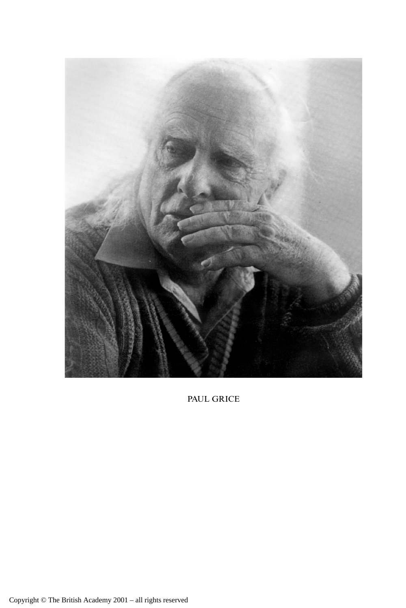

PAUL GRICE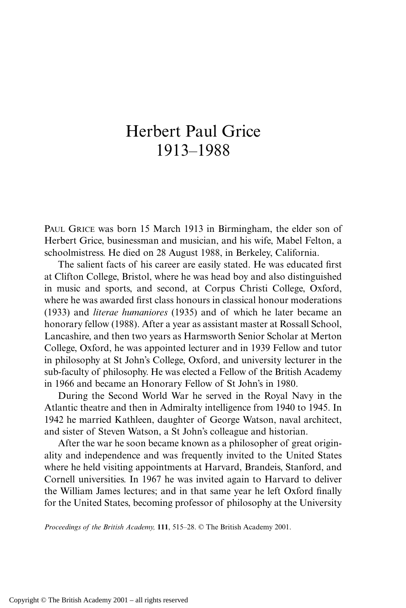## Herbert Paul Grice 1913–1988

PAUL GRICE was born 15 March 1913 in Birmingham, the elder son of Herbert Grice, businessman and musician, and his wife, Mabel Felton, a schoolmistress. He died on 28 August 1988, in Berkeley, California.

The salient facts of his career are easily stated. He was educated first at Clifton College, Bristol, where he was head boy and also distinguished in music and sports, and second, at Corpus Christi College, Oxford, where he was awarded first class honours in classical honour moderations (1933) and *literae humaniores* (1935) and of which he later became an honorary fellow (1988). After a year as assistant master at Rossall School, Lancashire, and then two years as Harmsworth Senior Scholar at Merton College, Oxford, he was appointed lecturer and in 1939 Fellow and tutor in philosophy at St John's College, Oxford, and university lecturer in the sub-faculty of philosophy. He was elected a Fellow of the British Academy in 1966 and became an Honorary Fellow of St John's in 1980.

During the Second World War he served in the Royal Navy in the Atlantic theatre and then in Admiralty intelligence from 1940 to 1945. In 1942 he married Kathleen, daughter of George Watson, naval architect, and sister of Steven Watson, a St John's colleague and historian.

After the war he soon became known as a philosopher of great originality and independence and was frequently invited to the United States where he held visiting appointments at Harvard, Brandeis, Stanford, and Cornell universities. In 1967 he was invited again to Harvard to deliver the William James lectures; and in that same year he left Oxford finally for the United States, becoming professor of philosophy at the University

*Proceedings of the British Academy,* **111**, 515–28. © The British Academy 2001.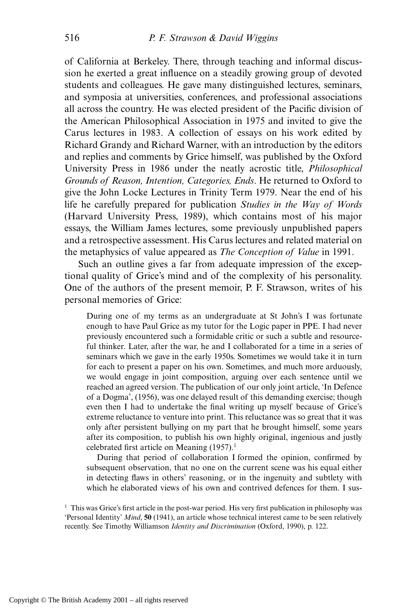of California at Berkeley. There, through teaching and informal discussion he exerted a great influence on a steadily growing group of devoted students and colleagues. He gave many distinguished lectures, seminars, and symposia at universities, conferences, and professional associations all across the country. He was elected president of the Pacific division of the American Philosophical Association in 1975 and invited to give the Carus lectures in 1983. A collection of essays on his work edited by Richard Grandy and Richard Warner, with an introduction by the editors and replies and comments by Grice himself, was published by the Oxford University Press in 1986 under the neatly acrostic title, *Philosophical Grounds of Reason, Intention, Categories, Ends*. He returned to Oxford to give the John Locke Lectures in Trinity Term 1979. Near the end of his life he carefully prepared for publication *Studies in the Way of Words* (Harvard University Press, 1989), which contains most of his major essays, the William James lectures, some previously unpublished papers and a retrospective assessment. His Carus lectures and related material on the metaphysics of value appeared as *The Conception of Value* in 1991.

Such an outline gives a far from adequate impression of the exceptional quality of Grice's mind and of the complexity of his personality. One of the authors of the present memoir, P. F. Strawson, writes of his personal memories of Grice:

During one of my terms as an undergraduate at St John's I was fortunate enough to have Paul Grice as my tutor for the Logic paper in PPE. I had never previously encountered such a formidable critic or such a subtle and resourceful thinker. Later, after the war, he and I collaborated for a time in a series of seminars which we gave in the early 1950s. Sometimes we would take it in turn for each to present a paper on his own. Sometimes, and much more arduously, we would engage in joint composition, arguing over each sentence until we reached an agreed version. The publication of our only joint article, 'In Defence of a Dogma', (1956), was one delayed result of this demanding exercise; though even then I had to undertake the final writing up myself because of Grice's extreme reluctance to venture into print. This reluctance was so great that it was only after persistent bullying on my part that he brought himself, some years after its composition, to publish his own highly original, ingenious and justly celebrated first article on Meaning (1957).<sup>1</sup>

During that period of collaboration I formed the opinion, confirmed by subsequent observation, that no one on the current scene was his equal either in detecting flaws in others' reasoning, or in the ingenuity and subtlety with which he elaborated views of his own and contrived defences for them. I sus-

<sup>1</sup> This was Grice's first article in the post-war period. His very first publication in philosophy was 'Personal Identity' *Mind*, **50** (1941), an article whose technical interest came to be seen relatively recently. See Timothy Williamson *Identity and Discrimination* (Oxford, 1990), p. 122.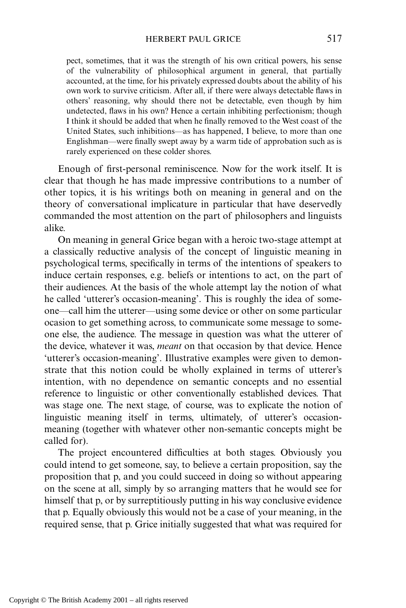pect, sometimes, that it was the strength of his own critical powers, his sense of the vulnerability of philosophical argument in general, that partially accounted, at the time, for his privately expressed doubts about the ability of his own work to survive criticism. After all, if there were always detectable flaws in others' reasoning, why should there not be detectable, even though by him undetected, flaws in his own? Hence a certain inhibiting perfectionism; though I think it should be added that when he finally removed to the West coast of the United States, such inhibitions—as has happened, I believe, to more than one Englishman—were finally swept away by a warm tide of approbation such as is rarely experienced on these colder shores.

Enough of first-personal reminiscence. Now for the work itself. It is clear that though he has made impressive contributions to a number of other topics, it is his writings both on meaning in general and on the theory of conversational implicature in particular that have deservedly commanded the most attention on the part of philosophers and linguists alike.

On meaning in general Grice began with a heroic two-stage attempt at a classically reductive analysis of the concept of linguistic meaning in psychological terms, specifically in terms of the intentions of speakers to induce certain responses, e.g. beliefs or intentions to act, on the part of their audiences. At the basis of the whole attempt lay the notion of what he called 'utterer's occasion-meaning'. This is roughly the idea of someone—call him the utterer—using some device or other on some particular ocasion to get something across, to communicate some message to someone else, the audience. The message in question was what the utterer of the device, whatever it was, *meant* on that occasion by that device. Hence 'utterer's occasion-meaning'. Illustrative examples were given to demonstrate that this notion could be wholly explained in terms of utterer's intention, with no dependence on semantic concepts and no essential reference to linguistic or other conventionally established devices. That was stage one. The next stage, of course, was to explicate the notion of linguistic meaning itself in terms, ultimately, of utterer's occasionmeaning (together with whatever other non-semantic concepts might be called for).

The project encountered difficulties at both stages. Obviously you could intend to get someone, say, to believe a certain proposition, say the proposition that p, and you could succeed in doing so without appearing on the scene at all, simply by so arranging matters that he would see for himself that p, or by surreptitiously putting in his way conclusive evidence that p. Equally obviously this would not be a case of your meaning, in the required sense, that p. Grice initially suggested that what was required for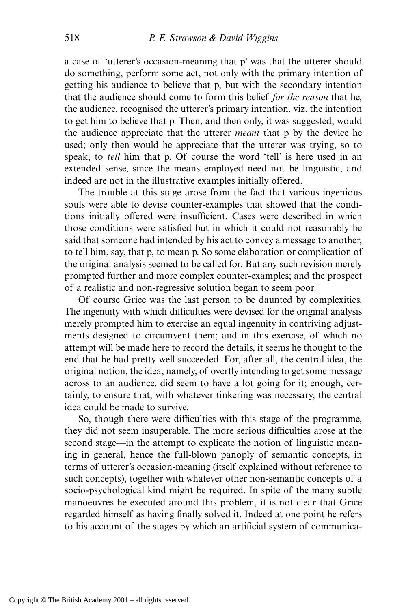a case of 'utterer's occasion-meaning that p' was that the utterer should do something, perform some act, not only with the primary intention of getting his audience to believe that p, but with the secondary intention that the audience should come to form this belief *for the reason* that he, the audience, recognised the utterer's primary intention, viz. the intention to get him to believe that p. Then, and then only, it was suggested, would the audience appreciate that the utterer *meant* that p by the device he used; only then would he appreciate that the utterer was trying, so to speak, to *tell* him that p. Of course the word 'tell' is here used in an extended sense, since the means employed need not be linguistic, and indeed are not in the illustrative examples initially offered.

The trouble at this stage arose from the fact that various ingenious souls were able to devise counter-examples that showed that the conditions initially offered were insufficient. Cases were described in which those conditions were satisfied but in which it could not reasonably be said that someone had intended by his act to convey a message to another, to tell him, say, that p, to mean p. So some elaboration or complication of the original analysis seemed to be called for. But any such revision merely prompted further and more complex counter-examples; and the prospect of a realistic and non-regressive solution began to seem poor.

Of course Grice was the last person to be daunted by complexities. The ingenuity with which difficulties were devised for the original analysis merely prompted him to exercise an equal ingenuity in contriving adjustments designed to circumvent them; and in this exercise, of which no attempt will be made here to record the details, it seems he thought to the end that he had pretty well succeeded. For, after all, the central idea, the original notion, the idea, namely, of overtly intending to get some message across to an audience, did seem to have a lot going for it; enough, certainly, to ensure that, with whatever tinkering was necessary, the central idea could be made to survive.

So, though there were difficulties with this stage of the programme, they did not seem insuperable. The more serious difficulties arose at the second stage—in the attempt to explicate the notion of linguistic meaning in general, hence the full-blown panoply of semantic concepts, in terms of utterer's occasion-meaning (itself explained without reference to such concepts), together with whatever other non-semantic concepts of a socio-psychological kind might be required. In spite of the many subtle manoeuvres he executed around this problem, it is not clear that Grice regarded himself as having finally solved it. Indeed at one point he refers to his account of the stages by which an artificial system of communica-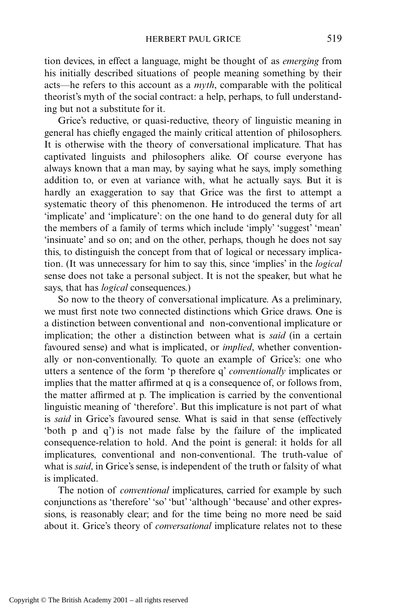tion devices, in effect a language, might be thought of as *emerging* from his initially described situations of people meaning something by their acts—he refers to this account as a *myth*, comparable with the political theorist's myth of the social contract: a help, perhaps, to full understanding but not a substitute for it.

Grice's reductive, or quasi-reductive, theory of linguistic meaning in general has chiefly engaged the mainly critical attention of philosophers. It is otherwise with the theory of conversational implicature. That has captivated linguists and philosophers alike. Of course everyone has always known that a man may, by saying what he says, imply something addition to, or even at variance with, what he actually says. But it is hardly an exaggeration to say that Grice was the first to attempt a systematic theory of this phenomenon. He introduced the terms of art 'implicate' and 'implicature': on the one hand to do general duty for all the members of a family of terms which include 'imply' 'suggest' 'mean' 'insinuate' and so on; and on the other, perhaps, though he does not say this, to distinguish the concept from that of logical or necessary implication. (It was unnecessary for him to say this, since 'implies' in the *logical* sense does not take a personal subject. It is not the speaker, but what he says, that has *logical* consequences.)

So now to the theory of conversational implicature. As a preliminary, we must first note two connected distinctions which Grice draws. One is a distinction between conventional and non-conventional implicature or implication; the other a distinction between what is *said* (in a certain favoured sense) and what is implicated, or *implied*, whether conventionally or non-conventionally. To quote an example of Grice's: one who utters a sentence of the form 'p therefore q' *conventionally* implicates or implies that the matter affirmed at q is a consequence of, or follows from, the matter affirmed at p. The implication is carried by the conventional linguistic meaning of 'therefore'. But this implicature is not part of what is *said* in Grice's favoured sense. What is said in that sense (effectively 'both p and q') is not made false by the failure of the implicated consequence-relation to hold. And the point is general: it holds for all implicatures, conventional and non-conventional. The truth-value of what is *said*, in Grice's sense, is independent of the truth or falsity of what is implicated.

The notion of *conventional* implicatures, carried for example by such conjunctions as 'therefore' 'so' 'but' 'although' 'because' and other expressions, is reasonably clear; and for the time being no more need be said about it. Grice's theory of *conversational* implicature relates not to these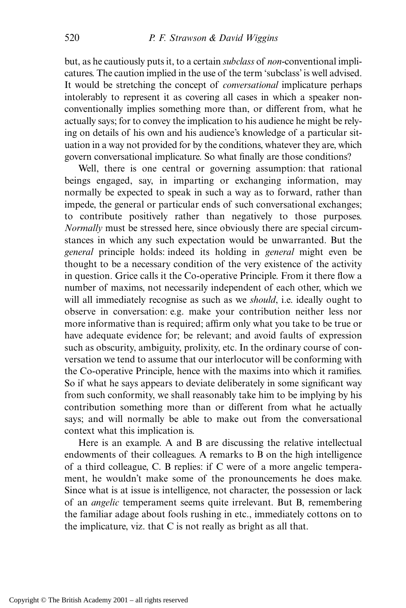but, as he cautiously puts it, to a certain *subclass* of *non*-conventional implicatures. The caution implied in the use of the term 'subclass' is well advised. It would be stretching the concept of *conversational* implicature perhaps intolerably to represent it as covering all cases in which a speaker nonconventionally implies something more than, or different from, what he actually says; for to convey the implication to his audience he might be relying on details of his own and his audience's knowledge of a particular situation in a way not provided for by the conditions, whatever they are, which govern conversational implicature. So what finally are those conditions?

Well, there is one central or governing assumption: that rational beings engaged, say, in imparting or exchanging information, may normally be expected to speak in such a way as to forward, rather than impede, the general or particular ends of such conversational exchanges; to contribute positively rather than negatively to those purposes. *Normally* must be stressed here, since obviously there are special circumstances in which any such expectation would be unwarranted. But the *general* principle holds: indeed its holding in *general* might even be thought to be a necessary condition of the very existence of the activity in question. Grice calls it the Co-operative Principle. From it there flow a number of maxims, not necessarily independent of each other, which we will all immediately recognise as such as we *should*, i.e. ideally ought to observe in conversation: e.g. make your contribution neither less nor more informative than is required; affirm only what you take to be true or have adequate evidence for; be relevant; and avoid faults of expression such as obscurity, ambiguity, prolixity, etc. In the ordinary course of conversation we tend to assume that our interlocutor will be conforming with the Co-operative Principle, hence with the maxims into which it ramifies. So if what he says appears to deviate deliberately in some significant way from such conformity, we shall reasonably take him to be implying by his contribution something more than or different from what he actually says; and will normally be able to make out from the conversational context what this implication is.

Here is an example. A and B are discussing the relative intellectual endowments of their colleagues. A remarks to B on the high intelligence of a third colleague, C. B replies: if C were of a more angelic temperament, he wouldn't make some of the pronouncements he does make. Since what is at issue is intelligence, not character, the possession or lack of an *angelic* temperament seems quite irrelevant. But B, remembering the familiar adage about fools rushing in etc., immediately cottons on to the implicature, viz. that C is not really as bright as all that.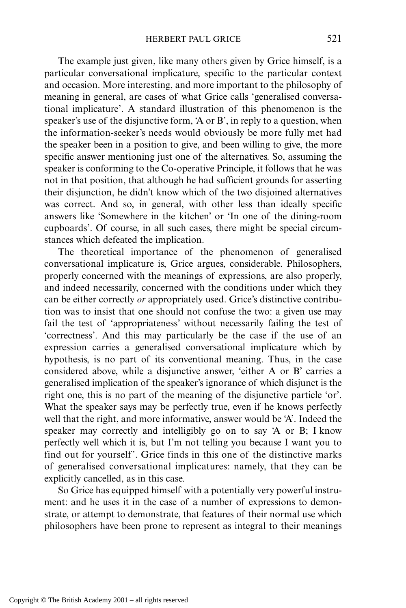The example just given, like many others given by Grice himself, is a particular conversational implicature, specific to the particular context and occasion. More interesting, and more important to the philosophy of meaning in general, are cases of what Grice calls 'generalised conversational implicature'. A standard illustration of this phenomenon is the speaker's use of the disjunctive form, 'A or B', in reply to a question, when the information-seeker's needs would obviously be more fully met had the speaker been in a position to give, and been willing to give, the more specific answer mentioning just one of the alternatives. So, assuming the speaker is conforming to the Co-operative Principle, it follows that he was not in that position, that although he had sufficient grounds for asserting their disjunction, he didn't know which of the two disjoined alternatives was correct. And so, in general, with other less than ideally specific answers like 'Somewhere in the kitchen' or 'In one of the dining-room cupboards'. Of course, in all such cases, there might be special circumstances which defeated the implication.

The theoretical importance of the phenomenon of generalised conversational implicature is, Grice argues, considerable. Philosophers, properly concerned with the meanings of expressions, are also properly, and indeed necessarily, concerned with the conditions under which they can be either correctly *or* appropriately used. Grice's distinctive contribution was to insist that one should not confuse the two: a given use may fail the test of 'appropriateness' without necessarily failing the test of 'correctness'. And this may particularly be the case if the use of an expression carries a generalised conversational implicature which by hypothesis, is no part of its conventional meaning. Thus, in the case considered above, while a disjunctive answer, 'either A or B' carries a generalised implication of the speaker's ignorance of which disjunct is the right one, this is no part of the meaning of the disjunctive particle 'or'. What the speaker says may be perfectly true, even if he knows perfectly well that the right, and more informative, answer would be 'A'. Indeed the speaker may correctly and intelligibly go on to say 'A or B; I know perfectly well which it is, but I'm not telling you because I want you to find out for yourself'. Grice finds in this one of the distinctive marks of generalised conversational implicatures: namely, that they can be explicitly cancelled, as in this case.

So Grice has equipped himself with a potentially very powerful instrument: and he uses it in the case of a number of expressions to demonstrate, or attempt to demonstrate, that features of their normal use which philosophers have been prone to represent as integral to their meanings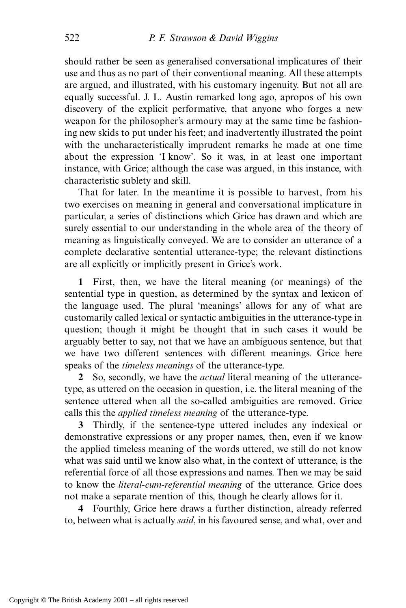should rather be seen as generalised conversational implicatures of their use and thus as no part of their conventional meaning. All these attempts are argued, and illustrated, with his customary ingenuity. But not all are equally successful. J. L. Austin remarked long ago, apropos of his own discovery of the explicit performative, that anyone who forges a new weapon for the philosopher's armoury may at the same time be fashioning new skids to put under his feet; and inadvertently illustrated the point with the uncharacteristically imprudent remarks he made at one time about the expression 'I know'. So it was, in at least one important instance, with Grice; although the case was argued, in this instance, with characteristic sublety and skill.

That for later. In the meantime it is possible to harvest, from his two exercises on meaning in general and conversational implicature in particular, a series of distinctions which Grice has drawn and which are surely essential to our understanding in the whole area of the theory of meaning as linguistically conveyed. We are to consider an utterance of a complete declarative sentential utterance-type; the relevant distinctions are all explicitly or implicitly present in Grice's work.

**1** First, then, we have the literal meaning (or meanings) of the sentential type in question, as determined by the syntax and lexicon of the language used. The plural 'meanings' allows for any of what are customarily called lexical or syntactic ambiguities in the utterance-type in question; though it might be thought that in such cases it would be arguably better to say, not that we have an ambiguous sentence, but that we have two different sentences with different meanings. Grice here speaks of the *timeless meanings* of the utterance-type.

**2** So, secondly, we have the *actual* literal meaning of the utterancetype, as uttered on the occasion in question, i.e. the literal meaning of the sentence uttered when all the so-called ambiguities are removed. Grice calls this the *applied timeless meaning* of the utterance-type.

**3** Thirdly, if the sentence-type uttered includes any indexical or demonstrative expressions or any proper names, then, even if we know the applied timeless meaning of the words uttered, we still do not know what was said until we know also what, in the context of utterance, is the referential force of all those expressions and names. Then we may be said to know the *literal-cum-referential meaning* of the utterance. Grice does not make a separate mention of this, though he clearly allows for it.

**4** Fourthly, Grice here draws a further distinction, already referred to, between what is actually *said*, in his favoured sense, and what, over and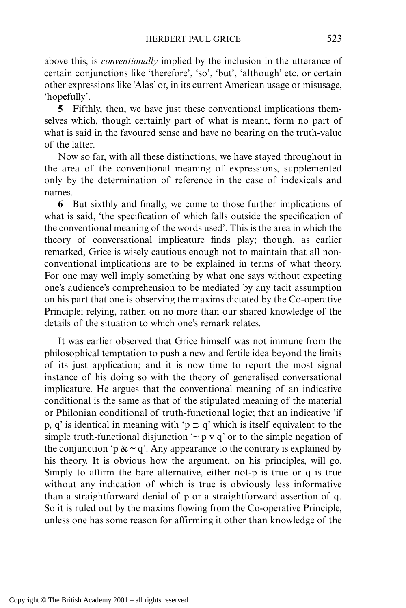above this, is *conventionally* implied by the inclusion in the utterance of certain conjunctions like 'therefore', 'so', 'but', 'although' etc. or certain other expressions like 'Alas' or, in its current American usage or misusage, 'hopefully'.

**5** Fifthly, then, we have just these conventional implications themselves which, though certainly part of what is meant, form no part of what is said in the favoured sense and have no bearing on the truth-value of the latter.

Now so far, with all these distinctions, we have stayed throughout in the area of the conventional meaning of expressions, supplemented only by the determination of reference in the case of indexicals and names.

**6** But sixthly and finally, we come to those further implications of what is said, 'the specification of which falls outside the specification of the conventional meaning of the words used'. This is the area in which the theory of conversational implicature finds play; though, as earlier remarked, Grice is wisely cautious enough not to maintain that all nonconventional implications are to be explained in terms of what theory. For one may well imply something by what one says without expecting one's audience's comprehension to be mediated by any tacit assumption on his part that one is observing the maxims dictated by the Co-operative Principle; relying, rather, on no more than our shared knowledge of the details of the situation to which one's remark relates.

It was earlier observed that Grice himself was not immune from the philosophical temptation to push a new and fertile idea beyond the limits of its just application; and it is now time to report the most signal instance of his doing so with the theory of generalised conversational implicature. He argues that the conventional meaning of an indicative conditional is the same as that of the stipulated meaning of the material or Philonian conditional of truth-functional logic; that an indicative 'if p, q' is identical in meaning with 'p  $\supset q$ ' which is itself equivalent to the simple truth-functional disjunction  $\sim$  p v q' or to the simple negation of the conjunction 'p  $\& \sim q$ '. Any appearance to the contrary is explained by his theory. It is obvious how the argument, on his principles, will go. Simply to affirm the bare alternative, either not-p is true or q is true without any indication of which is true is obviously less informative than a straightforward denial of p or a straightforward assertion of q. So it is ruled out by the maxims flowing from the Co-operative Principle, unless one has some reason for affirming it other than knowledge of the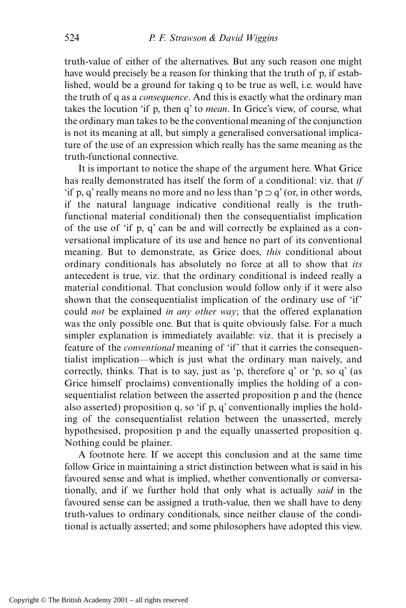truth-value of either of the alternatives. But any such reason one might have would precisely be a reason for thinking that the truth of p, if established, would be a ground for taking q to be true as well, i.e. would have the truth of q as a *consequence*. And this is exactly what the ordinary man takes the locution 'if p, then q' to *mean*. In Grice's view, of course, what the ordinary man takes to be the conventional meaning of the conjunction is not its meaning at all, but simply a generalised conversational implicature of the use of an expression which really has the same meaning as the truth-functional connective.

It is important to notice the shape of the argument here. What Grice has really demonstrated has itself the form of a conditional: viz. that *if* 'if p, q' really means no more and no less than 'p  $\supset q$ ' (or, in other words, if the natural language indicative conditional really is the truthfunctional material conditional) then the consequentialist implication of the use of 'if p, q' can be and will correctly be explained as a conversational implicature of its use and hence no part of its conventional meaning. But to demonstrate, as Grice does, *this* conditional about ordinary conditionals has absolutely no force at all to show that *its* antecedent is true, viz. that the ordinary conditional is indeed really a material conditional. That conclusion would follow only if it were also shown that the consequentialist implication of the ordinary use of 'if' could *not* be explained *in any other way*; that the offered explanation was the only possible one. But that is quite obviously false. For a much simpler explanation is immediately available: viz. that it is precisely a feature of the *conventional* meaning of 'if' that it carries the consequentialist implication—which is just what the ordinary man naively, and correctly, thinks. That is to say, just as 'p, therefore q' or 'p, so q' (as Grice himself proclaims) conventionally implies the holding of a consequentialist relation between the asserted proposition p and the (hence also asserted) proposition q, so 'if p, q' conventionally implies the holding of the consequentialist relation between the unasserted, merely hypothesised, proposition p and the equally unasserted proposition q. Nothing could be plainer.

A footnote here. If we accept this conclusion and at the same time follow Grice in maintaining a strict distinction between what is said in his favoured sense and what is implied, whether conventionally or conversationally, and if we further hold that only what is actually *said* in the favoured sense can be assigned a truth-value, then we shall have to deny truth-values to ordinary conditionals, since neither clause of the conditional is actually asserted; and some philosophers have adopted this view.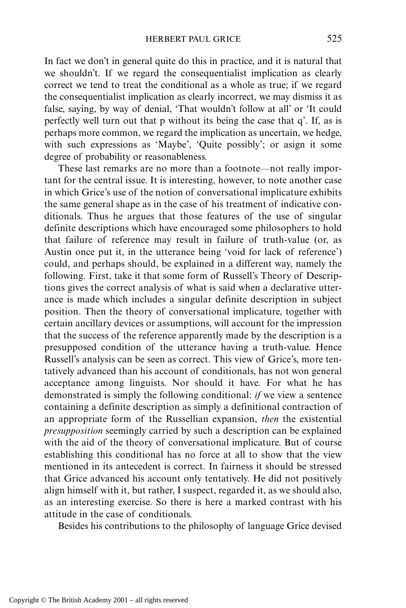In fact we don't in general quite do this in practice, and it is natural that we shouldn't. If we regard the consequentialist implication as clearly correct we tend to treat the conditional as a whole as true; if we regard the consequentialist implication as clearly incorrect, we may dismiss it as false, saying, by way of denial, 'That wouldn't follow at all' or 'It could perfectly well turn out that p without its being the case that q'. If, as is perhaps more common, we regard the implication as uncertain, we hedge, with such expressions as 'Maybe', 'Quite possibly'; or asign it some degree of probability or reasonableness.

These last remarks are no more than a footnote—not really important for the central issue. It is interesting, however, to note another case in which Grice's use of the notion of conversational implicature exhibits the same general shape as in the case of his treatment of indicative conditionals. Thus he argues that those features of the use of singular definite descriptions which have encouraged some philosophers to hold that failure of reference may result in failure of truth-value (or, as Austin once put it, in the utterance being 'void for lack of reference') could, and perhaps should, be explained in a different way, namely the following. First, take it that some form of Russell's Theory of Descriptions gives the correct analysis of what is said when a declarative utterance is made which includes a singular definite description in subject position. Then the theory of conversational implicature, together with certain ancillary devices or assumptions, will account for the impression that the success of the reference apparently made by the description is a presupposed condition of the utterance having a truth-value. Hence Russell's analysis can be seen as correct. This view of Grice's, more tentatively advanced than his account of conditionals, has not won general acceptance among linguists. Nor should it have. For what he has demonstrated is simply the following conditional: *if* we view a sentence containing a definite description as simply a definitional contraction of an appropriate form of the Russellian expansion, *then* the existential *presupposition* seemingly carried by such a description can be explained with the aid of the theory of conversational implicature. But of course establishing this conditional has no force at all to show that the view mentioned in its antecedent is correct. In fairness it should be stressed that Grice advanced his account only tentatively. He did not positively align himself with it, but rather, I suspect, regarded it, as we should also, as an interesting exercise. So there is here a marked contrast with his attitude in the case of conditionals.

Besides his contributions to the philosophy of language Grice devised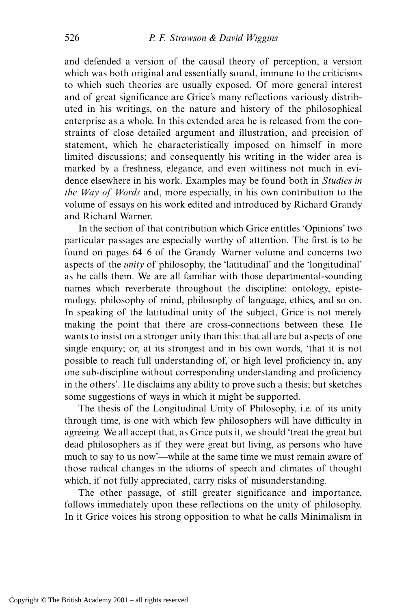and defended a version of the causal theory of perception, a version which was both original and essentially sound, immune to the criticisms to which such theories are usually exposed. Of more general interest and of great significance are Grice's many reflections variously distributed in his writings, on the nature and history of the philosophical enterprise as a whole. In this extended area he is released from the constraints of close detailed argument and illustration, and precision of statement, which he characteristically imposed on himself in more limited discussions; and consequently his writing in the wider area is marked by a freshness, elegance, and even wittiness not much in evidence elsewhere in his work. Examples may be found both in *Studies in the Way of Words* and, more especially, in his own contribution to the volume of essays on his work edited and introduced by Richard Grandy and Richard Warner.

In the section of that contribution which Grice entitles 'Opinions' two particular passages are especially worthy of attention. The first is to be found on pages 64–6 of the Grandy–Warner volume and concerns two aspects of the *unity* of philosophy, the 'latitudinal' and the 'longitudinal' as he calls them. We are all familiar with those departmental-sounding names which reverberate throughout the discipline: ontology, epistemology, philosophy of mind, philosophy of language, ethics, and so on. In speaking of the latitudinal unity of the subject, Grice is not merely making the point that there are cross-connections between these. He wants to insist on a stronger unity than this: that all are but aspects of one single enquiry; or, at its strongest and in his own words, 'that it is not possible to reach full understanding of, or high level proficiency in, any one sub-discipline without corresponding understanding and proficiency in the others'. He disclaims any ability to prove such a thesis; but sketches some suggestions of ways in which it might be supported.

The thesis of the Longitudinal Unity of Philosophy, i.e. of its unity through time, is one with which few philosophers will have difficulty in agreeing. We all accept that, as Grice puts it, we should 'treat the great but dead philosophers as if they were great but living, as persons who have much to say to us now'—while at the same time we must remain aware of those radical changes in the idioms of speech and climates of thought which, if not fully appreciated, carry risks of misunderstanding.

The other passage, of still greater significance and importance, follows immediately upon these reflections on the unity of philosophy. In it Grice voices his strong opposition to what he calls Minimalism in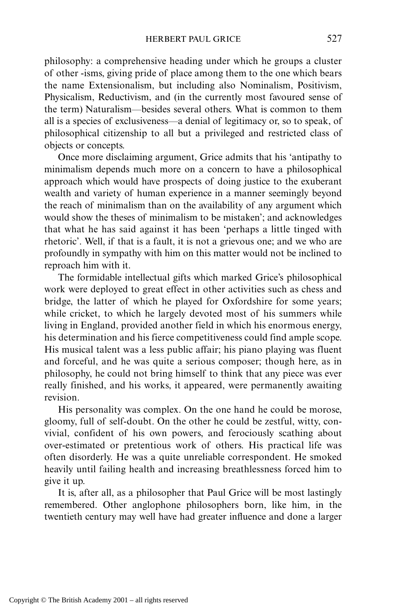philosophy: a comprehensive heading under which he groups a cluster of other -isms, giving pride of place among them to the one which bears the name Extensionalism, but including also Nominalism, Positivism, Physicalism, Reductivism, and (in the currently most favoured sense of the term) Naturalism—besides several others. What is common to them all is a species of exclusiveness—a denial of legitimacy or, so to speak, of philosophical citizenship to all but a privileged and restricted class of objects or concepts.

Once more disclaiming argument, Grice admits that his 'antipathy to minimalism depends much more on a concern to have a philosophical approach which would have prospects of doing justice to the exuberant wealth and variety of human experience in a manner seemingly beyond the reach of minimalism than on the availability of any argument which would show the theses of minimalism to be mistaken'; and acknowledges that what he has said against it has been 'perhaps a little tinged with rhetoric'. Well, if that is a fault, it is not a grievous one; and we who are profoundly in sympathy with him on this matter would not be inclined to reproach him with it.

The formidable intellectual gifts which marked Grice's philosophical work were deployed to great effect in other activities such as chess and bridge, the latter of which he played for Oxfordshire for some years; while cricket, to which he largely devoted most of his summers while living in England, provided another field in which his enormous energy, his determination and his fierce competitiveness could find ample scope. His musical talent was a less public affair; his piano playing was fluent and forceful, and he was quite a serious composer; though here, as in philosophy, he could not bring himself to think that any piece was ever really finished, and his works, it appeared, were permanently awaiting revision.

His personality was complex. On the one hand he could be morose, gloomy, full of self-doubt. On the other he could be zestful, witty, convivial, confident of his own powers, and ferociously scathing about over-estimated or pretentious work of others. His practical life was often disorderly. He was a quite unreliable correspondent. He smoked heavily until failing health and increasing breathlessness forced him to give it up.

It is, after all, as a philosopher that Paul Grice will be most lastingly remembered. Other anglophone philosophers born, like him, in the twentieth century may well have had greater influence and done a larger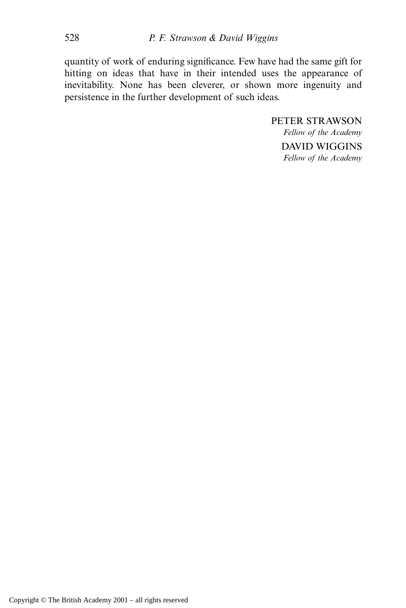quantity of work of enduring significance. Few have had the same gift for hitting on ideas that have in their intended uses the appearance of inevitability. None has been cleverer, or shown more ingenuity and persistence in the further development of such ideas.

> PETER STRAWSON *Fellow of the Academy* DAVID WIGGINS *Fellow of the Academy*